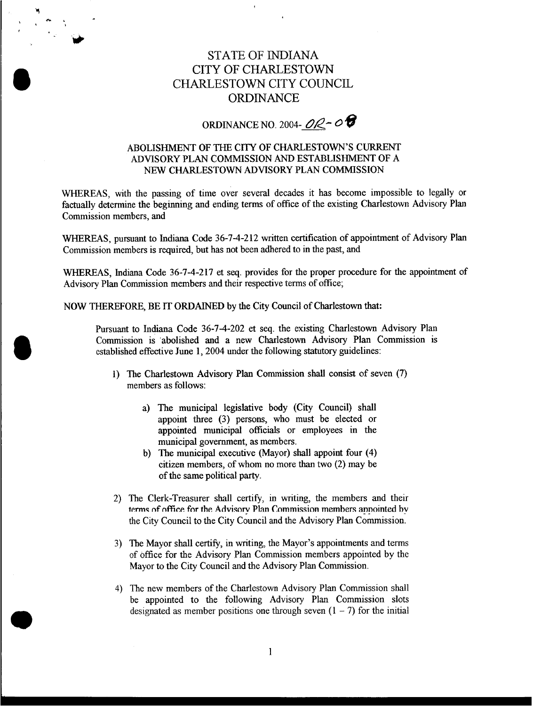## STATE OF **INDIANA**  CITY OF CHARLESTOWN CHARLESTOWN CITY COUNCIL **ORDINANCE**

 $\epsilon$ 

ORDINANCE NO. 2004- $OR-OR$ 

## ABOLISHMENT **OF** THE CITY **OF** CHARLESTOWN'S CURRENT **ADVISORY** PLAN COMMISSION AND ESTABLISHMENT **OF** A NEW CHARLESTOWN **ADVISORY** PLAN COMMISSION

WHEREAS, with the passing of time over several decades it has become impossible to legally or factually determine the beginning and ending terms of office of the existing Charlestown Advisory Plan Commission members, and

WHEREAS, pursuant to Indiana Code 36-7-4-212 written certification of appointment of Advisory Plan Commission members is required, but has not been adhered to in the past, and

WHEREAS, Indiana Code 36-7-4-217 et *seq.* provides for the proper procedure for the appointment of Advisory Plan Commission members and their respective terms of office;

NOW THEREFORE, BE IT ORDAINED by the City Council of Charlestown that:

Pursuant to Indiana Code 36-7-4-202 et seq. the existing Charlestown Advisory Plan Commission is abolished and a new Charlestown Advisory Plan Commission is established effective June 1, 2004 under the following statutory guidelines:

- **1)** The Charlestown Advisory Plan Commission shall consist of seven (7) members as follows:
	- a) The municipal legislative body (City Council) shall appoint three **(3)** persons, who must be elected or appointed municipal officials or employees in the municipal government, **as** members.
	- b) The municipal executive (Mayor) shall appoint four (4) citizen members, of whom no more than two (2) may be of the same political **party.**
- 2) The Clerk-Treasurer shall certify, in writing, the members and their **terms of office for the Advisory Plan Commission members appointed by** the City Council to the City Council and the Advisory Plan Commission.
- **3)** The Mayor shall certify, in writing, the Mayor's appointments and terms of office for the Advisory Plan Commission members appointed by the Mayor to the City Council and the Advisory Plan Commission.
- **4)** The new members of the Charlestown Advisory Plan Commission shall be appointed to the following Advisory Plan Commission slots designated as member positions one through seven  $(1 – 7)$  for the initial